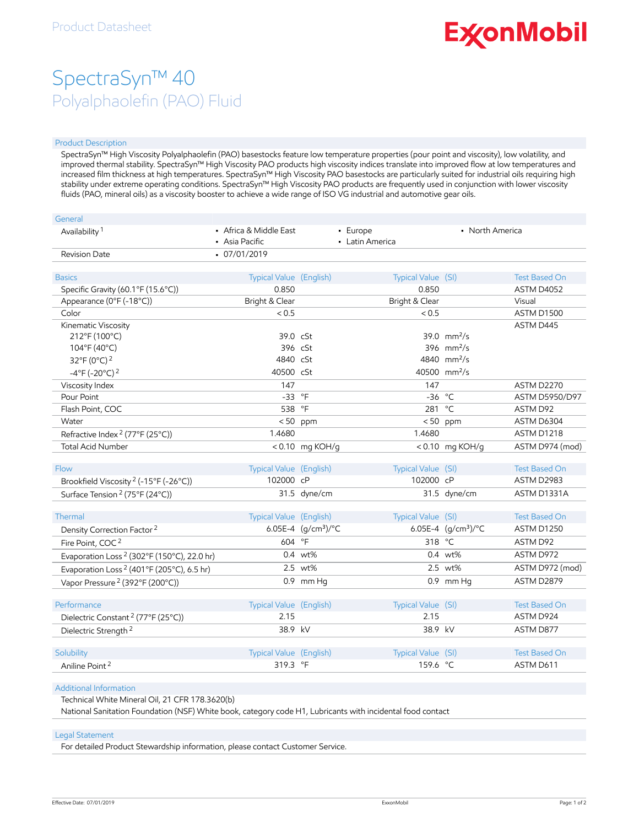# **ExconMobil**

## SpectraSyn™ 40 Polyalphaolefin (PAO) Fluid

#### Product Description

SpectraSyn™ High Viscosity Polyalphaolefin (PAO) basestocks feature low temperature properties (pour point and viscosity), low volatility, and improved thermal stability. SpectraSyn™ High Viscosity PAO products high viscosity indices translate into improved flow at low temperatures and increased film thickness at high temperatures. SpectraSyn™ High Viscosity PAO basestocks are particularly suited for industrial oils requiring high stability under extreme operating conditions. SpectraSyn™ High Viscosity PAO products are frequently used in conjunction with lower viscosity fluids (PAO, mineral oils) as a viscosity booster to achieve a wide range of ISO VG industrial and automotive gear oils.

| General                                                |                                          |                              |                             |                              |                                           |
|--------------------------------------------------------|------------------------------------------|------------------------------|-----------------------------|------------------------------|-------------------------------------------|
| Availability <sup>1</sup>                              | • Africa & Middle East<br>• Asia Pacific |                              | - Europe<br>• Latin America | • North America              |                                           |
| <b>Revision Date</b>                                   | $-07/01/2019$                            |                              |                             |                              |                                           |
|                                                        |                                          |                              |                             |                              |                                           |
| <b>Basics</b>                                          | Typical Value (English)                  |                              | Typical Value (SI)          |                              | <b>Test Based On</b>                      |
| Specific Gravity (60.1°F (15.6°C))                     | 0.850                                    |                              | 0.850                       |                              | ASTM D4052                                |
| Appearance (0°F (-18°C))                               | Bright & Clear                           |                              | Bright & Clear              |                              | Visual                                    |
| Color                                                  | < 0.5                                    |                              | < 0.5                       |                              | <b>ASTM D1500</b>                         |
| Kinematic Viscosity                                    |                                          |                              |                             |                              | ASTM D445                                 |
| 212°F (100°C)                                          | 39.0 cSt                                 |                              |                             | $39.0$ mm <sup>2</sup> /s    |                                           |
| 104°F (40°C)                                           | 396 cSt                                  |                              |                             | 396 $mm^2/s$                 |                                           |
| 32°F (0°C) <sup>2</sup>                                | 4840 cSt                                 |                              |                             | 4840 mm <sup>2</sup> /s      |                                           |
| $-4^{\circ}$ F (-20 $^{\circ}$ C) <sup>2</sup>         | 40500 cSt                                |                              |                             | 40500 mm <sup>2</sup> /s     |                                           |
| Viscosity Index                                        | 147                                      |                              | 147                         |                              | <b>ASTM D2270</b>                         |
| Pour Point                                             | $-33$ °F                                 |                              | $-36$ °C                    |                              | ASTM D5950/D97                            |
| Flash Point, COC                                       | 538 °F                                   |                              | 281                         | $^{\circ}$ C                 | ASTM D92                                  |
| Water                                                  |                                          | $< 50$ ppm                   |                             | $< 50$ ppm                   | ASTM D6304                                |
| Refractive Index <sup>2</sup> (77°F (25°C))            | 1.4680                                   |                              | 1.4680                      |                              | ASTM D1218                                |
| <b>Total Acid Number</b>                               |                                          | <0.10 mg KOH/g               |                             | $< 0.10$ mg KOH/g            | ASTM D974 (mod)                           |
|                                                        |                                          |                              |                             |                              |                                           |
| <b>Flow</b>                                            | Typical Value (English)                  |                              | Typical Value (SI)          |                              | <b>Test Based On</b>                      |
| Brookfield Viscosity <sup>2</sup> (-15°F (-26°C))      | 102000 cP                                |                              | 102000 cP                   |                              | ASTM D2983                                |
| Surface Tension <sup>2</sup> (75°F (24°C))             |                                          | 31.5 dyne/cm                 |                             | 31.5 dyne/cm                 | ASTM D1331A                               |
|                                                        |                                          |                              |                             |                              |                                           |
| Thermal                                                | Typical Value (English)                  | 6.05E-4 $(q/cm^3)/^{\circ}C$ | Typical Value (SI)          | 6.05E-4 $(q/cm^3)/^{\circ}C$ | <b>Test Based On</b><br><b>ASTM D1250</b> |
| Density Correction Factor <sup>2</sup>                 |                                          |                              |                             |                              |                                           |
| Fire Point, COC <sup>2</sup>                           | 604 °F                                   |                              | 318 °C                      |                              | ASTM D92                                  |
| Evaporation Loss <sup>2</sup> (302°F (150°C), 22.0 hr) |                                          | 0.4 wt%                      |                             | $0.4 \text{ wt\%}$           | ASTM D972                                 |
| Evaporation Loss <sup>2</sup> (401°F (205°C), 6.5 hr)  |                                          | 2.5 wt%                      |                             | 2.5 wt%                      | ASTM D972 (mod)                           |
| Vapor Pressure <sup>2</sup> (392°F (200°C))            |                                          | 0.9 mm Hq                    |                             | $0.9$ mm Hq                  | ASTM D2879                                |
| Performance                                            |                                          |                              |                             |                              | <b>Test Based On</b>                      |
|                                                        | Typical Value (English)<br>2.15          |                              | Typical Value (SI)<br>2.15  |                              | ASTM D924                                 |
| Dielectric Constant <sup>2</sup> (77°F (25°C))         |                                          |                              |                             |                              |                                           |
| Dielectric Strength <sup>2</sup>                       | 38.9 kV                                  |                              | 38.9 kV                     |                              | ASTM D877                                 |
|                                                        |                                          |                              |                             |                              | <b>Test Based On</b>                      |
| Solubility                                             | Typical Value (English)                  |                              | Typical Value (SI)          |                              |                                           |
| Aniline Point <sup>2</sup>                             | 319.3 °F                                 |                              | 159.6 °C                    |                              | ASTM D611                                 |

Additional Information

Technical White Mineral Oil, 21 CFR 178.3620(b)

National Sanitation Foundation (NSF) White book, category code H1, Lubricants with incidental food contact

#### Legal Statement

For detailed Product Stewardship information, please contact Customer Service.